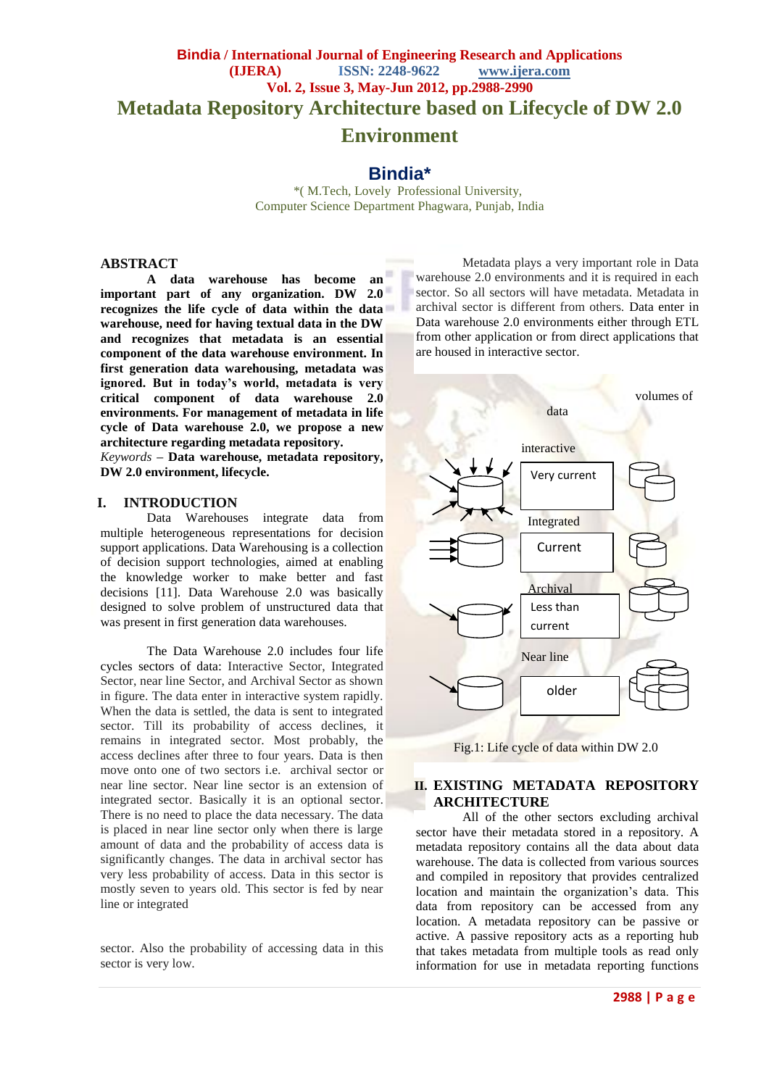# **Bindia / International Journal of Engineering Research and Applications (IJERA) ISSN: 2248-9622 www.ijera.com Vol. 2, Issue 3, May-Jun 2012, pp.2988-2990 Metadata Repository Architecture based on Lifecycle of DW 2.0 Environment**

# **Bindia\***

 \*( M.Tech, Lovely Professional University, Computer Science Department Phagwara, Punjab, India

# **ABSTRACT**

**A data warehouse has become an important part of any organization. DW 2.0 recognizes the life cycle of data within the data warehouse, need for having textual data in the DW and recognizes that metadata is an essential component of the data warehouse environment. In first generation data warehousing, metadata was ignored. But in today's world, metadata is very critical component of data warehouse 2.0 environments. For management of metadata in life cycle of Data warehouse 2.0, we propose a new architecture regarding metadata repository.** 

*Keywords* **– Data warehouse, metadata repository, DW 2.0 environment, lifecycle.**

#### **I. INTRODUCTION**

Data Warehouses integrate data from multiple heterogeneous representations for decision support applications. Data Warehousing is a collection of decision support technologies, aimed at enabling the knowledge worker to make better and fast decisions [11]. Data Warehouse 2.0 was basically designed to solve problem of unstructured data that was present in first generation data warehouses.

The Data Warehouse 2.0 includes four life cycles sectors of data: Interactive Sector, Integrated Sector, near line Sector, and Archival Sector as shown in figure. The data enter in interactive system rapidly. When the data is settled, the data is sent to integrated sector. Till its probability of access declines, it remains in integrated sector. Most probably, the access declines after three to four years. Data is then move onto one of two sectors i.e. archival sector or near line sector. Near line sector is an extension of integrated sector. Basically it is an optional sector. There is no need to place the data necessary. The data is placed in near line sector only when there is large amount of data and the probability of access data is significantly changes. The data in archival sector has very less probability of access. Data in this sector is mostly seven to years old. This sector is fed by near line or integrated

sector. Also the probability of accessing data in this sector is very low.

Metadata plays a very important role in Data warehouse 2.0 environments and it is required in each sector. So all sectors will have metadata. Metadata in archival sector is different from others. Data enter in Data warehouse 2.0 environments either through ETL from other application or from direct applications that are housed in interactive sector.





# **II. EXISTING METADATA REPOSITORY ARCHITECTURE**

All of the other sectors excluding archival sector have their metadata stored in a repository. A metadata repository contains all the data about data warehouse. The data is collected from various sources and compiled in repository that provides centralized location and maintain the organization's data. This data from repository can be accessed from any location. A metadata repository can be passive or active. A passive repository acts as a reporting hub that takes metadata from multiple tools as read only information for use in metadata reporting functions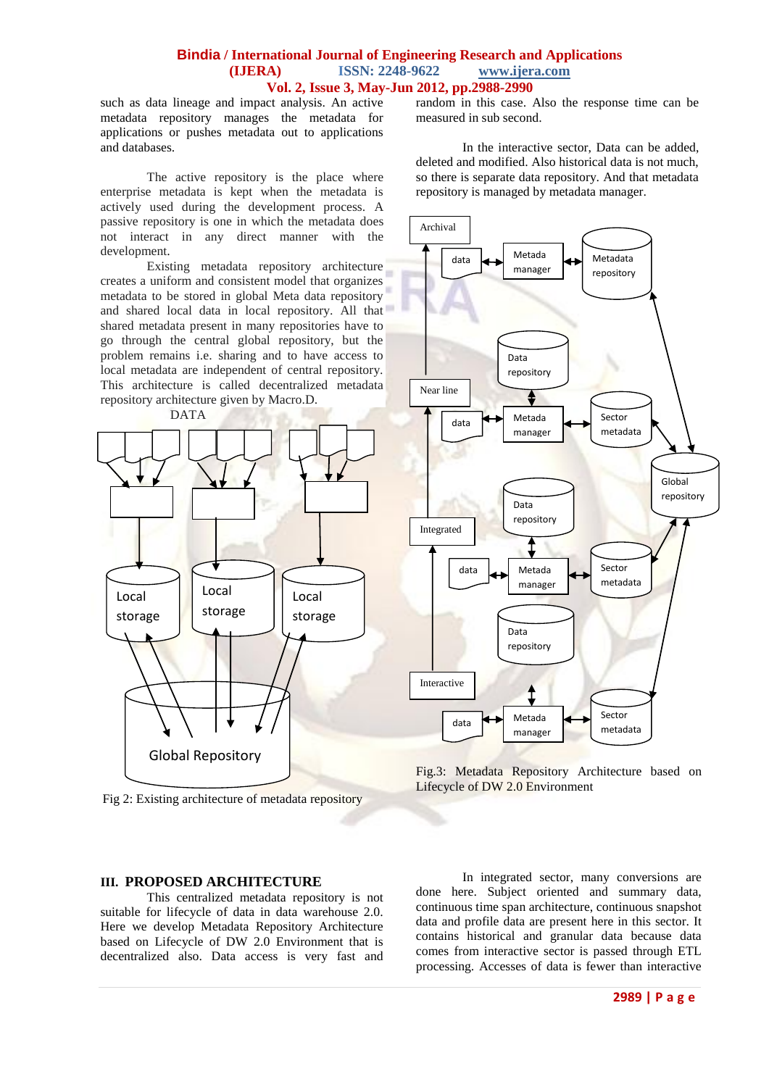#### **Bindia / International Journal of Engineering Research and Applications (IJERA) ISSN: 2248-9622 www.ijera.com Vol. 2, Issue 3, May-Jun 2012, pp.2988-2990**

such as data lineage and impact analysis. An active metadata repository manages the metadata for applications or pushes metadata out to applications and [databases.](http://it.toolbox.com/wiki/index.php/Database)

The active repository is the place where enterprise metadata is kept when the metadata is actively used during the development process. A passive repository is one in which the metadata does not interact in any direct manner with the development.

Existing metadata repository architecture creates a uniform and consistent model that organizes metadata to be stored in global Meta data repository and shared local data in local repository. All that shared metadata present in many repositories have to go through the central global repository, but the problem remains i.e. sharing and to have access to local metadata are independent of central repository. This architecture is called decentralized metadata repository architecture given by Macro.D.



Fig 2: Existing architecture of metadata repository

# **III. PROPOSED ARCHITECTURE**

This centralized metadata repository is not suitable for lifecycle of data in data warehouse 2.0. Here we develop Metadata Repository Architecture based on Lifecycle of DW 2.0 Environment that is decentralized also. Data access is very fast and random in this case. Also the response time can be measured in sub second.

In the interactive sector, Data can be added, deleted and modified. Also historical data is not much, so there is separate data repository. And that metadata repository is managed by metadata manager.



Fig.3: Metadata Repository Architecture based on Lifecycle of DW 2.0 Environment

In integrated sector, many conversions are done here. Subject oriented and summary data, continuous time span architecture, continuous snapshot data and profile data are present here in this sector. It contains historical and granular data because data comes from interactive sector is passed through ETL processing. Accesses of data is fewer than interactive